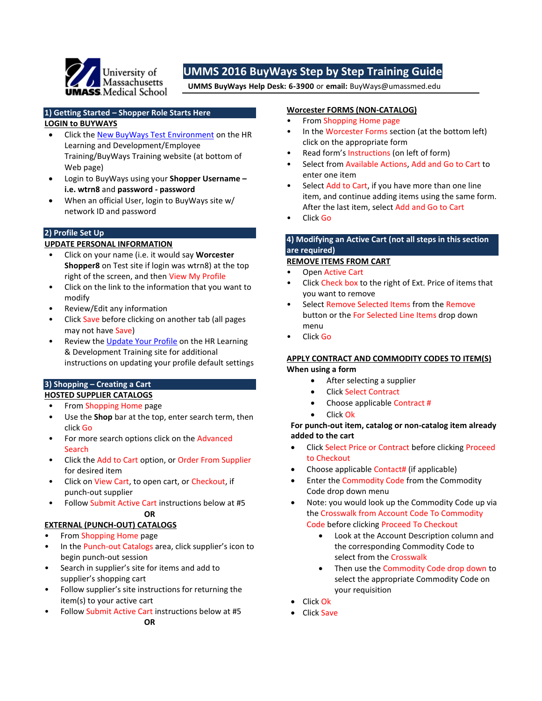

# **UMMS 2016 BuyWays Step by Step Training Guide**

**UMMS BuyWays Help Desk: 6-3900** or **email:** [BuyWays@umassmed.edu](mailto:BuyWays@umassmed.edu)

## **1) Getting Started – Shopper Role Starts Here**

## **LOGIN to BUYWAYS**

- Click th[e New BuyWays Test Environment](https://usertest.sciquest.com/apps/Router/Login?OrgName=UMass&tmstmp=1346331531114) on the HR Learning and Development/Employee Training/BuyWays Training website (at bottom of Web page)
- Login to BuyWays using your **Shopper Username – i.e. wtrn8** and **password - password**
- When an official User, login to BuyWays site w/ network ID and password

# **2) Profile Set Up**

## **UPDATE PERSONAL INFORMATION**

- Click on your name (i.e. it would say **Worcester Shopper8** on Test site if login was wtrn8) at the top right of the screen, and then View My Profile
- Click on the link to the information that you want to modify
- Review/Edit any information
- Click Save before clicking on another tab (all pages may not have Save)
- Review th[e Update Your Profile](https://upk.umassp.edu/BuyWays/Videos/Updating%20Your%20Profile/Updating%20Your%20Profile.htm) on the HR Learning & Development Training site for additional instructions on updating your profile default settings

# **3) Shopping – Creating a Cart**

## **HOSTED SUPPLIER CATALOGS**

- From Shopping Home page
- Use the **Shop** bar at the top, enter search term, then click Go
- For more search options click on the Advanced **Search**
- Click the Add to Cart option, or Order From Supplier for desired item
- Click on View Cart, to open cart, or Checkout, if punch-out supplier
- Follow Submit Active Cart instructions below at #5 **OR**

# **EXTERNAL (PUNCH-OUT) CATALOGS**

- From Shopping Home page
- In the Punch-out Catalogs area, click supplier's icon to begin punch-out session
- Search in supplier's site for items and add to supplier's shopping cart
- Follow supplier's site instructions for returning the item(s) to your active cart
- Follow Submit Active Cart instructions below at #5

#### **OR**

## **Worcester FORMS (NON-CATALOG)**

- From Shopping Home page
- In the Worcester Forms section (at the bottom left) click on the appropriate form
- Read form's Instructions (on left of form)
- Select from Available Actions, Add and Go to Cart to enter one item
- Select Add to Cart, if you have more than one line item, and continue adding items using the same form. After the last item, select Add and Go to Cart
- Click Go

# **4) Modifying an Active Cart (not all steps in this section are required)**

- **REMOVE ITEMS FROM CART**
- Open Active Cart
- Click Check box to the right of Ext. Price of items that you want to remove
- Select Remove Selected Items from the Remove button or the For Selected Line Items drop down menu
- Click Go

## **APPLY CONTRACT AND COMMODITY CODES TO ITEM(S) When using a form**

- After selecting a supplier
- Click Select Contract
- Choose applicable Contract #
- Click Ok

## **For punch-out item, catalog or non-catalog item already added to the cart**

- Click Select Price or Contract before clicking Proceed to Checkout
- Choose applicable Contact# (if applicable)
- Enter the Commodity Code from the Commodity Code drop down menu
- Note: you would look up the Commodity Code up via the Crosswalk from Account Code To Commodity Code before clicking Proceed To Checkout
	- Look at the Account Description column and the corresponding Commodity Code to select from the Crosswalk
	- Then use the Commodity Code drop down to select the appropriate Commodity Code on your requisition
- Click Ok
- Click Save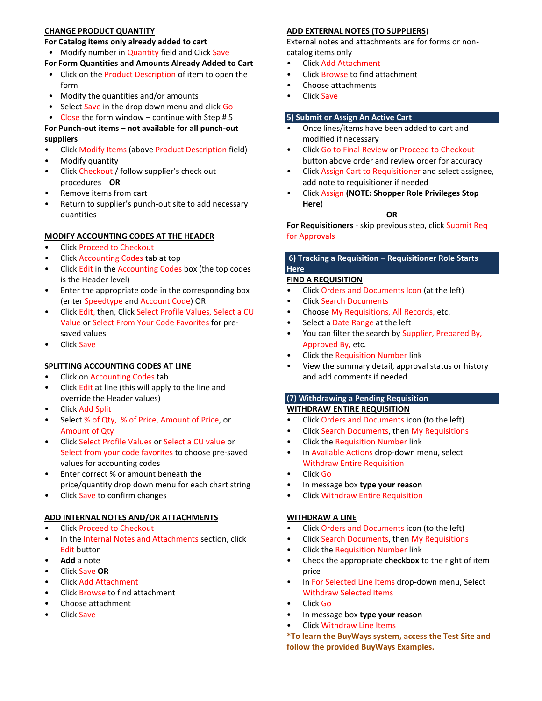# **CHANGE PRODUCT QUANTITY**

**For Catalog items only already added to cart**

• Modify number in Quantity field and Click Save

- **For Form Quantities and Amounts Already Added to Cart**
- Click on the Product Description of item to open the form
- Modify the quantities and/or amounts
- Select Save in the drop down menu and click Go
- Close the form window continue with Step # 5

## **For Punch-out items – not available for all punch-out suppliers**

- Click Modify Items (above Product Description field)
- Modify quantity
- Click Checkout / follow supplier's check out procedures **OR**
- Remove items from cart
- Return to supplier's punch-out site to add necessary quantities

# **MODIFY ACCOUNTING CODES AT THE HEADER**

- Click Proceed to Checkout
- Click Accounting Codes tab at top
- Click Edit in the Accounting Codes box (the top codes is the Header level)
- Enter the appropriate code in the corresponding box (enter Speedtype and Account Code) OR
- Click Edit, then, Click Select Profile Values, Select a CU Value or Select From Your Code Favorites for presaved values
- Click Save

# **SPLITTING ACCOUNTING CODES AT LINE**

- Click on Accounting Codes tab
- Click Edit at line (this will apply to the line and override the Header values)
- Click Add Split
- Select % of Qty, % of Price, Amount of Price, or Amount of Qty
- Click Select Profile Values or Select a CU value or Select from your code favorites to choose pre-saved values for accounting codes
- Enter correct % or amount beneath the price/quantity drop down menu for each chart string
- Click Save to confirm changes

## **ADD INTERNAL NOTES AND/OR ATTACHMENTS**

- Click Proceed to Checkout
- In the Internal Notes and Attachments section, click Edit button
- **Add** a note
- Click Save **OR**
- Click Add Attachment
- Click Browse to find attachment
- Choose attachment
- Click Save

## **ADD EXTERNAL NOTES (TO SUPPLIERS**)

External notes and attachments are for forms or noncatalog items only

- Click Add Attachment
- Click Browse to find attachment
- Choose attachments
- Click Save

# **5) Submit or Assign An Active Cart**

- Once lines/items have been added to cart and modified if necessary
- Click Go to Final Review or Proceed to Checkout button above order and review order for accuracy
- Click Assign Cart to Requisitioner and select assignee, add note to requisitioner if needed
- Click Assign **(NOTE: Shopper Role Privileges Stop Here**)

## **OR**

**For Requisitioners** - skip previous step, click Submit Req for Approvals

## **6) Tracking a Requisition – Requisitioner Role Starts Here**

## **FIND A REQUISITION**

- Click Orders and Documents Icon (at the left)
- Click Search Documents
- Choose My Requisitions, All Records, etc.
- Select a Date Range at the left
- You can filter the search by Supplier, Prepared By, Approved By, etc.
- Click the Requisition Number link
- View the summary detail, approval status or history and add comments if needed

# **(7) Withdrawing a Pending Requisition**

## **WITHDRAW ENTIRE REQUISITION**

- Click Orders and Documents icon (to the left)
- Click Search Documents, then My Requisitions
- Click the Requisition Number link
- In Available Actions drop-down menu, select Withdraw Entire Requisition
- Click Go
- In message box **type your reason**
- Click Withdraw Entire Requisition

## **WITHDRAW A LINE**

- Click Orders and Documents icon (to the left)
- Click Search Documents, then My Requisitions
- Click the Requisition Number link
- Check the appropriate **checkbox** to the right of item price
- In For Selected Line Items drop-down menu, Select Withdraw Selected Items
- Click Go
- In message box **type your reason**
- Click Withdraw Line Items

**\*To learn the BuyWays system, access the Test Site and follow the provided BuyWays Examples.**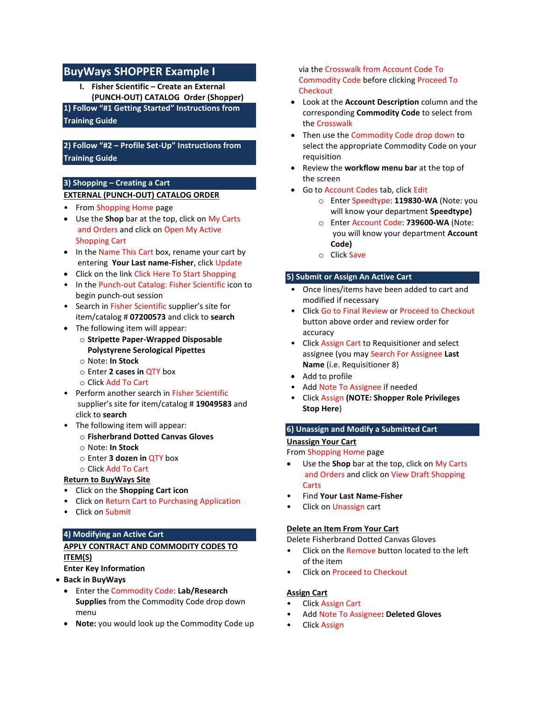# **BuyWays SHOPPER Example I**

**I. Fisher Scientific – Create an External (PUNCH-OUT) CATALOG Order (Shopper) 1) Follow "#1 Getting Started" Instructions from** 

# **Training Guide**

# **2) Follow "#2 – Profile Set-Up" Instructions from Training Guide**

## **3) Shopping – Creating a Cart EXTERNAL (PUNCH-OUT) CATALOG ORDER**

- From Shopping Home page
- Use the **Shop** bar at the top, click on My Carts and Orders and click on Open My Active Shopping Cart
- In the Name This Cart box, rename your cart by entering **Your Last name-Fisher**, click Update
- Click on the link Click Here To Start Shopping
- In the Punch-out Catalog: Fisher Scientific icon to begin punch-out session
- Search in Fisher Scientific supplier's site for item/catalog # **07200573** and click to **search**
- The following item will appear:
	- o **Stripette Paper-Wrapped Disposable Polystyrene Serological Pipettes**
	- o Note: **In Stock**
	- o Enter **2 cases in** QTY box
	- o Click Add To Cart
- Perform another search in Fisher Scientific supplier's site for item/catalog # **19049583** and click to **search**
- The following item will appear:
	- o **Fisherbrand Dotted Canvas Gloves**
	- o Note: **In Stock**
	- o Enter **3 dozen in** QTY box

## o Click Add To Cart

## **Return to BuyWays Site**

- Click on the **Shopping Cart icon**
- Click on Return Cart to Purchasing Application
- Click on Submit

## **4) Modifying an Active Cart**

# **APPLY CONTRACT AND COMMODITY CODES TO ITEM(S)**

# **Enter Key Information**

- **Back in BuyWays**
	- Enter the Commodity Code: **Lab/Research Supplies** from the Commodity Code drop down menu
	- **Note:** you would look up the Commodity Code up

via the Crosswalk from Account Code To Commodity Code before clicking Proceed To **Checkout** 

- Look at the **Account Description** column and the corresponding **Commodity Code** to select from the Crosswalk
- Then use the Commodity Code drop down to select the appropriate Commodity Code on your requisition
- Review the **workflow menu bar** at the top of the screen
- **Go to Account Codes tab, click Edit** 
	- o Enter Speedtype: **119830-WA** (Note: you will know your department **Speedtype)**
	- o Enter Account Code: **739600-WA** (Note: you will know your department **Account Code)**
	- o Click Save

## **5) Submit or Assign An Active Cart**

- Once lines/items have been added to cart and modified if necessary
- Click Go to Final Review or Proceed to Checkout button above order and review order for accuracy
- Click Assign Cart to Requisitioner and select assignee (you may Search For Assignee **Last Name** (i.e. Requisitioner 8)
- Add to profile
- Add Note To Assignee if needed
- Click Assign **(NOTE: Shopper Role Privileges Stop Here**)

## **6) Unassign and Modify a Submitted Cart**

#### **Unassign Your Cart**

From Shopping Home page

- Use the **Shop** bar at the top, click on My Carts and Orders and click on View Draft Shopping **Carts**
- Find **Your Last Name-Fisher**
- Click on Unassign cart

#### **Delete an Item From Your Cart**

Delete Fisherbrand Dotted Canvas Gloves

- Click on the Remove button located to the left of the item
- Click on Proceed to Checkout

#### **Assign Cart**

- Click Assign Cart
- Add Note To Assignee**: Deleted Gloves**
- Click Assign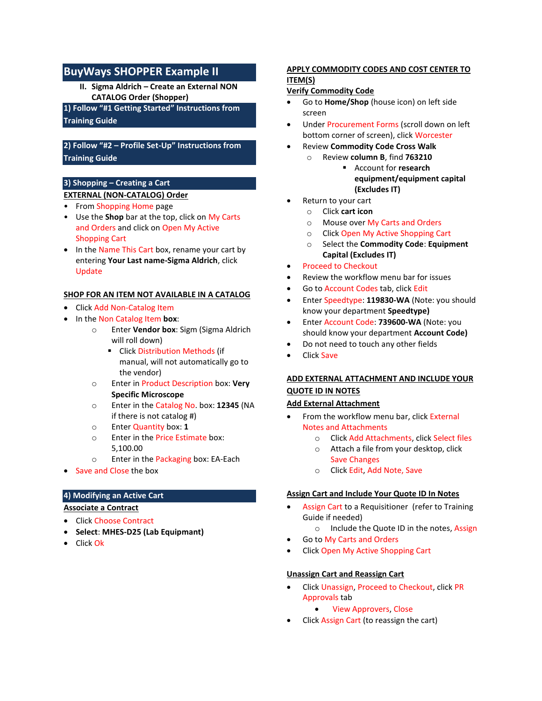# **BuyWays SHOPPER Example II**

**II. Sigma Aldrich – Create an External NON CATALOG Order (Shopper)**

**1) Follow "#1 Getting Started" Instructions from Training Guide**

# **2) Follow "#2 – Profile Set-Up" Instructions from Training Guide**

# **3) Shopping – Creating a Cart EXTERNAL (NON-CATALOG) Order**

- From Shopping Home page
- Use the **Shop** bar at the top, click on My Carts and Orders and click on Open My Active Shopping Cart
- In the Name This Cart box, rename your cart by entering **Your Last name-Sigma Aldrich**, click Update

## **SHOP FOR AN ITEM NOT AVAILABLE IN A CATALOG**

- Click Add Non-Catalog Item
- In the Non Catalog Item **box**:
	- o Enter **Vendor box**: Sigm (Sigma Aldrich will roll down)
		- **EXECLICE Distribution Methods (if** manual, will not automatically go to the vendor)
	- o Enter in Product Description box: **Very Specific Microscope**
	- o Enter in the Catalog No. box: **12345** (NA if there is not catalog #)
	- o Enter Quantity box: **1**
	- o Enter in the Price Estimate box: 5,100.00
	- o Enter in the Packaging box: EA-Each
- Save and Close the box

## **4) Modifying an Active Cart**

## **Associate a Contract**

- Click Choose Contract
- **Select**: **MHES-D25 (Lab Equipmant)**
- Click Ok

## **APPLY COMMODITY CODES AND COST CENTER TO ITEM(S)**

## **Verify Commodity Code**

- Go to **Home/Shop** (house icon) on left side screen
- Under Procurement Forms (scroll down on left bottom corner of screen), click Worcester
- Review **Commodity Code Cross Walk** o Review **column B**, find **763210**
	- Account for **research equipment/equipment capital (Excludes IT)**
- Return to your cart
	- o Click **cart icon**
	- o Mouse over My Carts and Orders
	- o Click Open My Active Shopping Cart
	- o Select the **Commodity Code**: **Equipment Capital (Excludes IT)**
- Proceed to Checkout
- Review the workflow menu bar for issues
- Go to Account Codes tab, click Edit
- Enter Speedtype: **119830-WA** (Note: you should know your department **Speedtype)**
- Enter Account Code: **739600-WA** (Note: you should know your department **Account Code)**
- Do not need to touch any other fields
- Click Save

# **ADD EXTERNAL ATTACHMENT AND INCLUDE YOUR QUOTE ID IN NOTES**

## **Add External Attachment**

- From the workflow menu bar, click External Notes and Attachments
	- o Click Add Attachments, click Select files
	- o Attach a file from your desktop, click Save Changes
	- o Click Edit, Add Note, Save

## **Assign Cart and Include Your Quote ID In Notes**

- Assign Cart to a Requisitioner (refer to Training Guide if needed)
	- o Include the Quote ID in the notes, Assign
- Go to My Carts and Orders
- Click Open My Active Shopping Cart

## **Unassign Cart and Reassign Cart**

- Click Unassign, Proceed to Checkout, click PR Approvals tab
	- View Approvers, Close
- Click Assign Cart (to reassign the cart)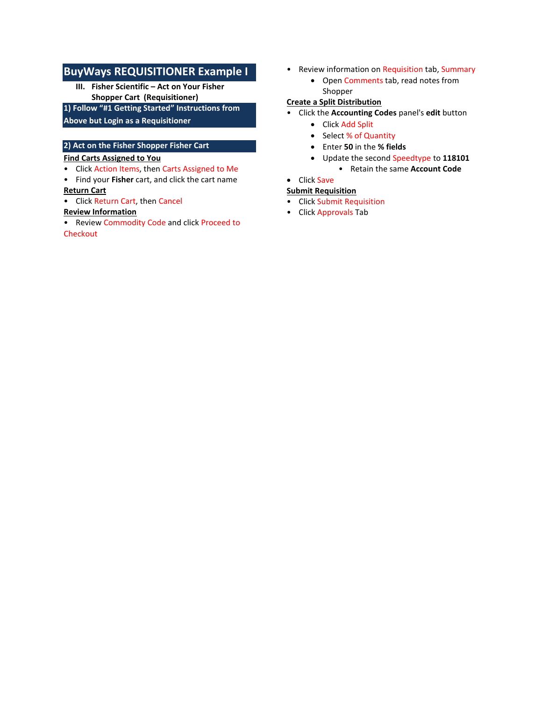# **BuyWays REQUISITIONER Example I**

- **III.** Fisher Scientific Act on Your Fisher **Shopper Cart (Requisitioner)**
- **1) Follow "#1 Getting Started" Instructions from**

**Above but Login as a Requisitioner**

# **2) Act on the Fisher Shopper Fisher Cart**

## **Find Carts Assigned to You**

- Click Action Items, then Carts Assigned to Me
- Find your **Fisher** cart, and click the cart name **Return Cart**
- Click Return Cart, then Cancel

## **Review Information**

• Review Commodity Code and click Proceed to **Checkout** 

- Review information on Requisition tab, Summary
	- Open Comments tab, read notes from Shopper

# **Create a Split Distribution**

- Click the **Accounting Codes** panel's **edit** button
	- Click Add Split
	- Select % of Quantity
	- Enter **50** in the **% fields**
	- Update the second Speedtype to **118101**
		- Retain the same **Account Code**

# • Click Save

## **Submit Requisition**

- Click Submit Requisition
- Click Approvals Tab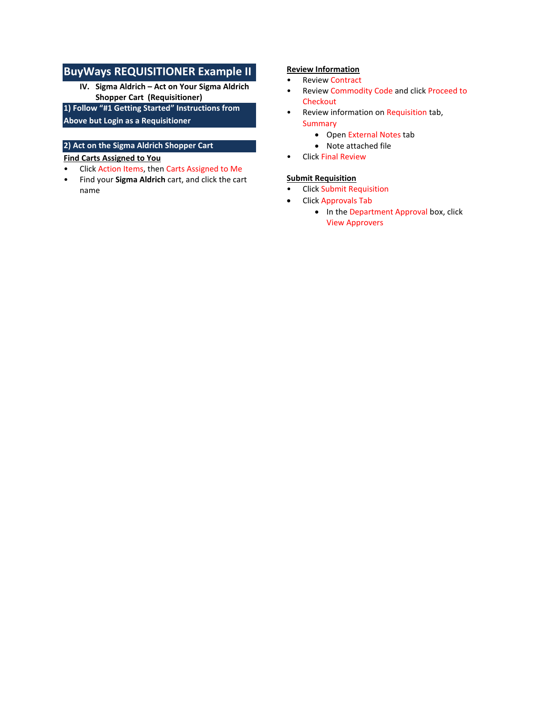# **BuyWays REQUISITIONER Example II**

**IV. Sigma Aldrich – Act on Your Sigma Aldrich Shopper Cart (Requisitioner)**

**1) Follow "#1 Getting Started" Instructions from** 

**Above but Login as a Requisitioner**

- **2) Act on the Sigma Aldrich Shopper Cart Find Carts Assigned to You**
- Click Action Items, then Carts Assigned to Me
- Find your **Sigma Aldrich** cart, and click the cart name

## **Review Information**

- Review Contract
- Review Commodity Code and click Proceed to **Checkout**
- Review information on Requisition tab, Summary
	- Open External Notes tab
	- Note attached file
- Click Final Review

## **Submit Requisition**

- Click Submit Requisition
- Click Approvals Tab
	- In the Department Approval box, click View Approvers